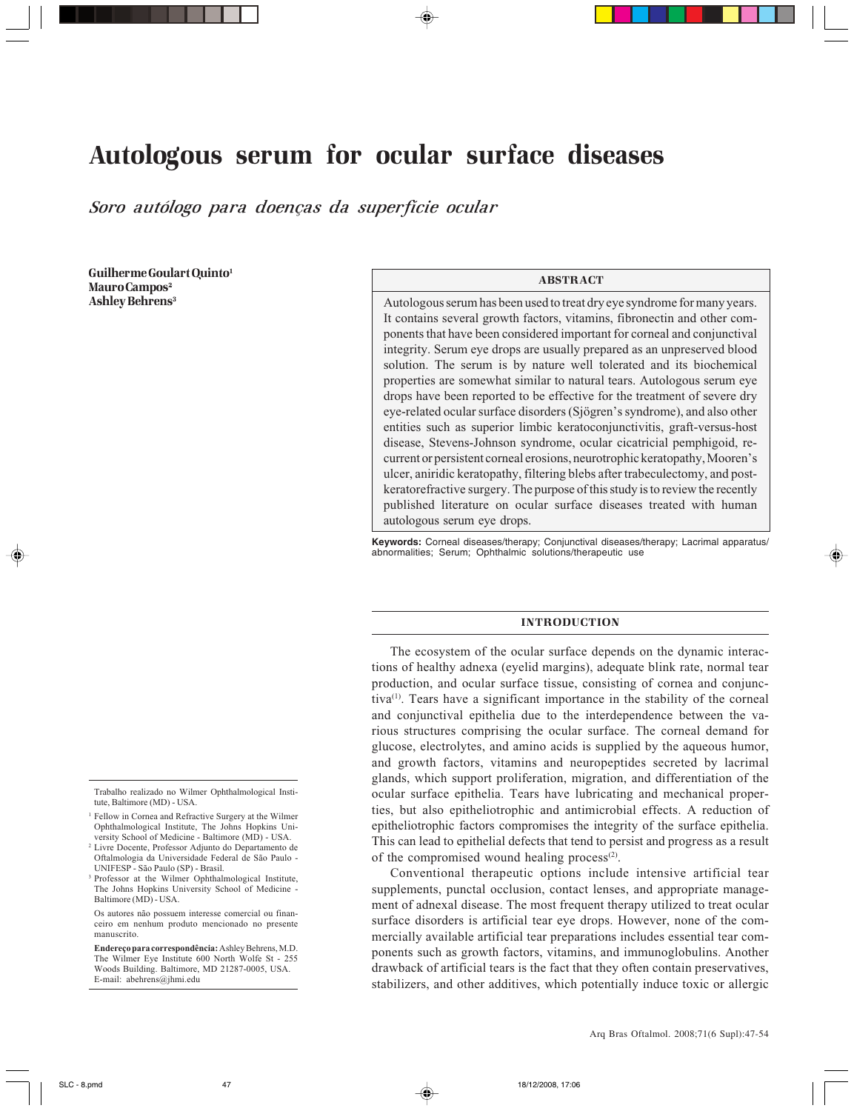# Autologous serum for ocular surface diseases

*Soro autólogo para doenças da superfície ocular*

Guilherme Goulart Quinto1 Mauro Campos<sup>2</sup> Ashley Behrens<sup>3</sup>

Trabalho realizado no Wilmer Ophthalmological Institute, Baltimore (MD) - USA.

- <sup>1</sup> Fellow in Cornea and Refractive Surgery at the Wilmer Ophthalmological Institute, The Johns Hopkins University School of Medicine - Baltimore (MD) - USA.
- <sup>2</sup> Livre Docente, Professor Adjunto do Departamento de Oftalmologia da Universidade Federal de São Paulo - UNIFESP - São Paulo (SP) - Brasil.
- <sup>3</sup> Professor at the Wilmer Ophthalmological Institute, The Johns Hopkins University School of Medicine - Baltimore (MD) - USA.

Os autores não possuem interesse comercial ou financeiro em nenhum produto mencionado no presente manuscrito.

**Endereço para correspondência:** Ashley Behrens, M.D. The Wilmer Eye Institute 600 North Wolfe St - 255 Woods Building. Baltimore, MD 21287-0005, USA. E-mail: abehrens@jhmi.edu

## ABSTRACT

Autologous serum has been used to treat dry eye syndrome for many years. It contains several growth factors, vitamins, fibronectin and other components that have been considered important for corneal and conjunctival integrity. Serum eye drops are usually prepared as an unpreserved blood solution. The serum is by nature well tolerated and its biochemical properties are somewhat similar to natural tears. Autologous serum eye drops have been reported to be effective for the treatment of severe dry eye-related ocular surface disorders (Sjögren's syndrome), and also other entities such as superior limbic keratoconjunctivitis, graft-versus-host disease, Stevens-Johnson syndrome, ocular cicatricial pemphigoid, recurrent or persistent corneal erosions, neurotrophic keratopathy, Mooren's ulcer, aniridic keratopathy, filtering blebs after trabeculectomy, and postkeratorefractive surgery. The purpose of this study is to review the recently published literature on ocular surface diseases treated with human autologous serum eye drops.

**Keywords:** Corneal diseases/therapy; Conjunctival diseases/therapy; Lacrimal apparatus/ abnormalities; Serum; Ophthalmic solutions/therapeutic use

#### INTRODUCTION

The ecosystem of the ocular surface depends on the dynamic interactions of healthy adnexa (eyelid margins), adequate blink rate, normal tear production, and ocular surface tissue, consisting of cornea and conjunctiva(1). Tears have a significant importance in the stability of the corneal and conjunctival epithelia due to the interdependence between the various structures comprising the ocular surface. The corneal demand for glucose, electrolytes, and amino acids is supplied by the aqueous humor, and growth factors, vitamins and neuropeptides secreted by lacrimal glands, which support proliferation, migration, and differentiation of the ocular surface epithelia. Tears have lubricating and mechanical properties, but also epitheliotrophic and antimicrobial effects. A reduction of epitheliotrophic factors compromises the integrity of the surface epithelia. This can lead to epithelial defects that tend to persist and progress as a result of the compromised wound healing process $(2)$ .

Conventional therapeutic options include intensive artificial tear supplements, punctal occlusion, contact lenses, and appropriate management of adnexal disease. The most frequent therapy utilized to treat ocular surface disorders is artificial tear eye drops. However, none of the commercially available artificial tear preparations includes essential tear components such as growth factors, vitamins, and immunoglobulins. Another drawback of artificial tears is the fact that they often contain preservatives, stabilizers, and other additives, which potentially induce toxic or allergic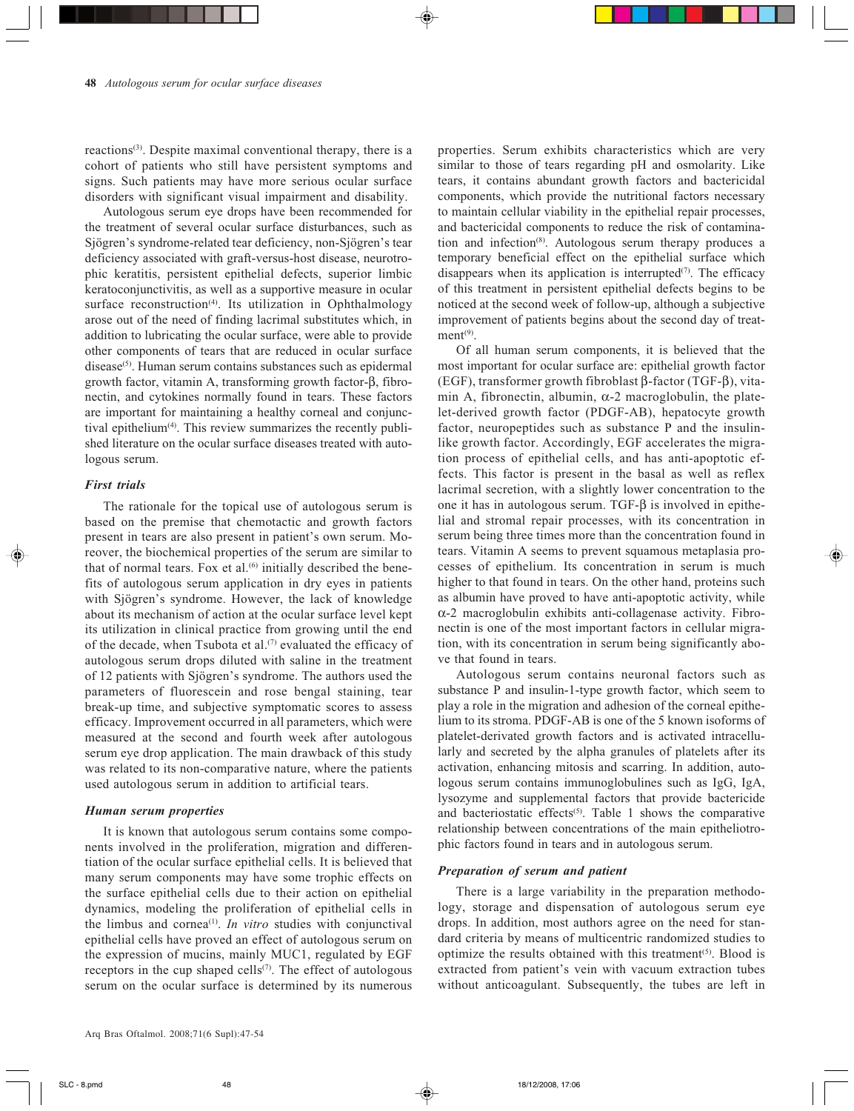reactions<sup>(3)</sup>. Despite maximal conventional therapy, there is a cohort of patients who still have persistent symptoms and signs. Such patients may have more serious ocular surface disorders with significant visual impairment and disability.

Autologous serum eye drops have been recommended for the treatment of several ocular surface disturbances, such as Sjögren's syndrome-related tear deficiency, non-Sjögren's tear deficiency associated with graft-versus-host disease, neurotrophic keratitis, persistent epithelial defects, superior limbic keratoconjunctivitis, as well as a supportive measure in ocular surface reconstruction<sup>(4)</sup>. Its utilization in Ophthalmology arose out of the need of finding lacrimal substitutes which, in addition to lubricating the ocular surface, were able to provide other components of tears that are reduced in ocular surface disease<sup>(5)</sup>. Human serum contains substances such as epidermal growth factor, vitamin A, transforming growth factor-β, fibronectin, and cytokines normally found in tears. These factors are important for maintaining a healthy corneal and conjunctival epithelium $(4)$ . This review summarizes the recently published literature on the ocular surface diseases treated with autologous serum.

## *First trials*

The rationale for the topical use of autologous serum is based on the premise that chemotactic and growth factors present in tears are also present in patient's own serum. Moreover, the biochemical properties of the serum are similar to that of normal tears. Fox et al. $(6)$  initially described the benefits of autologous serum application in dry eyes in patients with Sjögren's syndrome. However, the lack of knowledge about its mechanism of action at the ocular surface level kept its utilization in clinical practice from growing until the end of the decade, when Tsubota et al.<sup>(7)</sup> evaluated the efficacy of autologous serum drops diluted with saline in the treatment of 12 patients with Sjögren's syndrome. The authors used the parameters of fluorescein and rose bengal staining, tear break-up time, and subjective symptomatic scores to assess efficacy. Improvement occurred in all parameters, which were measured at the second and fourth week after autologous serum eye drop application. The main drawback of this study was related to its non-comparative nature, where the patients used autologous serum in addition to artificial tears.

# *Human serum properties*

It is known that autologous serum contains some components involved in the proliferation, migration and differentiation of the ocular surface epithelial cells. It is believed that many serum components may have some trophic effects on the surface epithelial cells due to their action on epithelial dynamics, modeling the proliferation of epithelial cells in the limbus and cornea<sup>(1)</sup>. *In vitro* studies with conjunctival epithelial cells have proved an effect of autologous serum on the expression of mucins, mainly MUC1, regulated by EGF receptors in the cup shaped cells<sup>(7)</sup>. The effect of autologous serum on the ocular surface is determined by its numerous properties. Serum exhibits characteristics which are very similar to those of tears regarding pH and osmolarity. Like tears, it contains abundant growth factors and bactericidal components, which provide the nutritional factors necessary to maintain cellular viability in the epithelial repair processes, and bactericidal components to reduce the risk of contamination and infection<sup>(8)</sup>. Autologous serum therapy produces a temporary beneficial effect on the epithelial surface which disappears when its application is interrupted $(7)$ . The efficacy of this treatment in persistent epithelial defects begins to be noticed at the second week of follow-up, although a subjective improvement of patients begins about the second day of treat $ment<sup>(9)</sup>$ .

Of all human serum components, it is believed that the most important for ocular surface are: epithelial growth factor (EGF), transformer growth fibroblast β-factor (TGF-β), vitamin A, fibronectin, albumin,  $\alpha$ -2 macroglobulin, the platelet-derived growth factor (PDGF-AB), hepatocyte growth factor, neuropeptides such as substance P and the insulinlike growth factor. Accordingly, EGF accelerates the migration process of epithelial cells, and has anti-apoptotic effects. This factor is present in the basal as well as reflex lacrimal secretion, with a slightly lower concentration to the one it has in autologous serum. TGF-β is involved in epithelial and stromal repair processes, with its concentration in serum being three times more than the concentration found in tears. Vitamin A seems to prevent squamous metaplasia processes of epithelium. Its concentration in serum is much higher to that found in tears. On the other hand, proteins such as albumin have proved to have anti-apoptotic activity, while α-2 macroglobulin exhibits anti-collagenase activity. Fibronectin is one of the most important factors in cellular migration, with its concentration in serum being significantly above that found in tears.

Autologous serum contains neuronal factors such as substance P and insulin-1-type growth factor, which seem to play a role in the migration and adhesion of the corneal epithelium to its stroma. PDGF-AB is one of the 5 known isoforms of platelet-derivated growth factors and is activated intracellularly and secreted by the alpha granules of platelets after its activation, enhancing mitosis and scarring. In addition, autologous serum contains immunoglobulines such as IgG, IgA, lysozyme and supplemental factors that provide bactericide and bacteriostatic effects<sup> $(5)$ </sup>. Table 1 shows the comparative relationship between concentrations of the main epitheliotrophic factors found in tears and in autologous serum.

## *Preparation of serum and patient*

There is a large variability in the preparation methodology, storage and dispensation of autologous serum eye drops. In addition, most authors agree on the need for standard criteria by means of multicentric randomized studies to optimize the results obtained with this treatment<sup>(5)</sup>. Blood is extracted from patient's vein with vacuum extraction tubes without anticoagulant. Subsequently, the tubes are left in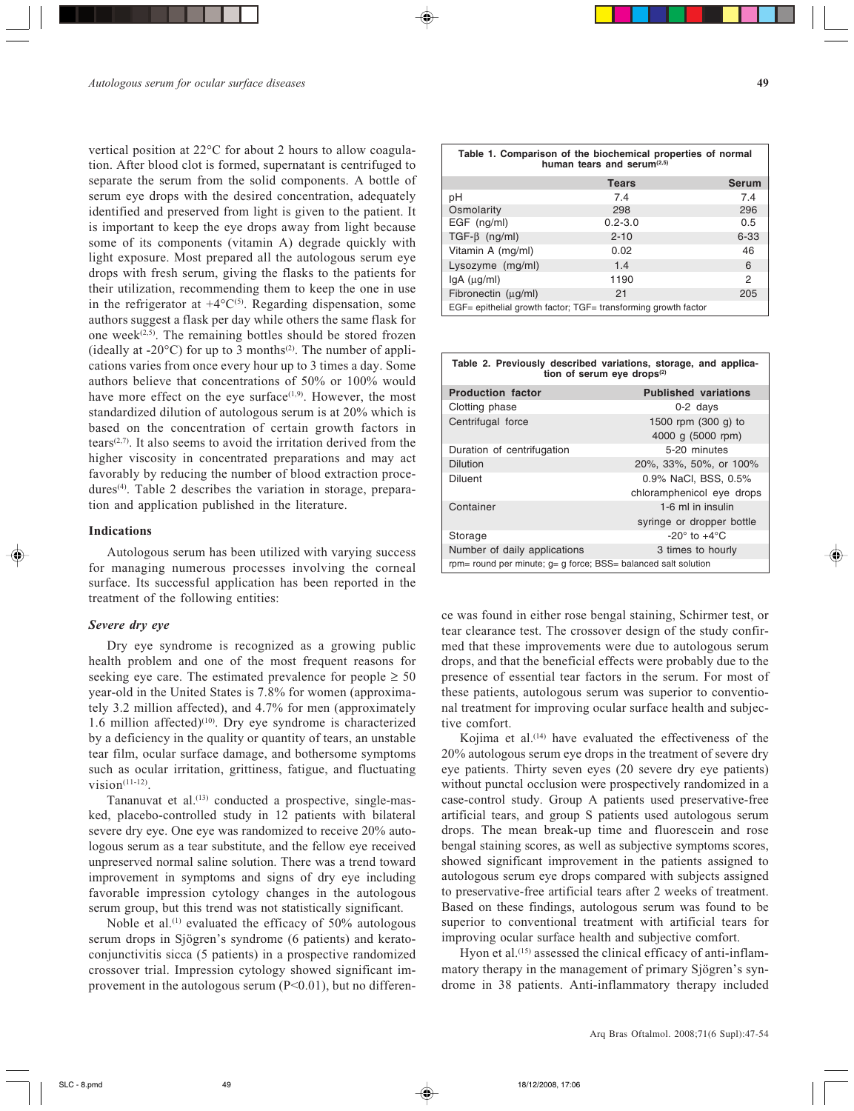vertical position at 22°C for about 2 hours to allow coagulation. After blood clot is formed, supernatant is centrifuged to separate the serum from the solid components. A bottle of serum eye drops with the desired concentration, adequately identified and preserved from light is given to the patient. It is important to keep the eye drops away from light because some of its components (vitamin A) degrade quickly with light exposure. Most prepared all the autologous serum eye drops with fresh serum, giving the flasks to the patients for their utilization, recommending them to keep the one in use in the refrigerator at  $+4^{\circ}C^{(5)}$ . Regarding dispensation, some authors suggest a flask per day while others the same flask for one week<sup> $(2,5)$ </sup>. The remaining bottles should be stored frozen (ideally at  $-20^{\circ}$ C) for up to 3 months<sup>(2)</sup>. The number of applications varies from once every hour up to 3 times a day. Some authors believe that concentrations of 50% or 100% would have more effect on the eye surface $(1,9)$ . However, the most standardized dilution of autologous serum is at 20% which is based on the concentration of certain growth factors in tears<sup> $(2,7)$ </sup>. It also seems to avoid the irritation derived from the higher viscosity in concentrated preparations and may act favorably by reducing the number of blood extraction procedures<sup> $(4)$ </sup>. Table 2 describes the variation in storage, preparation and application published in the literature.

## **Indications**

Autologous serum has been utilized with varying success for managing numerous processes involving the corneal surface. Its successful application has been reported in the treatment of the following entities:

# *Severe dry eye*

Dry eye syndrome is recognized as a growing public health problem and one of the most frequent reasons for seeking eye care. The estimated prevalence for people  $\geq 50$ year-old in the United States is 7.8% for women (approximately 3.2 million affected), and 4.7% for men (approximately 1.6 million affected)<sup>(10)</sup>. Dry eye syndrome is characterized by a deficiency in the quality or quantity of tears, an unstable tear film, ocular surface damage, and bothersome symptoms such as ocular irritation, grittiness, fatigue, and fluctuating  $vision<sup>(11-12)</sup>$ 

Tananuvat et al.(13) conducted a prospective, single-masked, placebo-controlled study in 12 patients with bilateral severe dry eye. One eye was randomized to receive 20% autologous serum as a tear substitute, and the fellow eye received unpreserved normal saline solution. There was a trend toward improvement in symptoms and signs of dry eye including favorable impression cytology changes in the autologous serum group, but this trend was not statistically significant.

Noble et al.<sup>(1)</sup> evaluated the efficacy of  $50\%$  autologous serum drops in Sjögren's syndrome (6 patients) and keratoconjunctivitis sicca (5 patients) in a prospective randomized crossover trial. Impression cytology showed significant improvement in the autologous serum  $(P<0.01)$ , but no differen-

| Osmolarity                                                     | 298         | 296      |  |
|----------------------------------------------------------------|-------------|----------|--|
| EGF (ng/ml)                                                    | $0.2 - 3.0$ | 0.5      |  |
| $TGF-\beta$ (ng/ml)                                            | $2 - 10$    | $6 - 33$ |  |
| Vitamin A (mg/ml)                                              | 0.02        | 46       |  |
| Lysozyme (mg/ml)                                               | 1.4         | 6        |  |
| $lgA$ ( $\mu$ g/ml)                                            | 1190        | 2        |  |
| Fibronectin (ug/ml)                                            | 21          | 205      |  |
| EGF= epithelial growth factor; TGF= transforming growth factor |             |          |  |

| Table 2. Previously described variations, storage, and applica-<br>tion of serum eye drops <sup>(2)</sup>                        |                                                   |  |
|----------------------------------------------------------------------------------------------------------------------------------|---------------------------------------------------|--|
| <b>Production factor</b>                                                                                                         | <b>Published variations</b>                       |  |
| Clotting phase                                                                                                                   | $0-2$ days                                        |  |
| Centrifugal force                                                                                                                | 1500 rpm (300 g) to<br>4000 g (5000 rpm)          |  |
| Duration of centrifugation                                                                                                       | 5-20 minutes                                      |  |
| <b>Dilution</b>                                                                                                                  | 20%, 33%, 50%, or 100%                            |  |
| <b>Diluent</b>                                                                                                                   | 0.9% NaCl. BSS, 0.5%<br>chloramphenicol eye drops |  |
| Container                                                                                                                        | 1-6 ml in insulin<br>syringe or dropper bottle    |  |
| Storage                                                                                                                          | $-20^\circ$ to $+4^\circ$ C                       |  |
| Number of daily applications<br>the contract of the contract of the contract of the contract of the contract of<br><sub>nn</sub> | 3 times to hourly<br>.                            |  |

rpm= round per minute; g= g force; BSS= balanced salt solution

ce was found in either rose bengal staining, Schirmer test, or tear clearance test. The crossover design of the study confirmed that these improvements were due to autologous serum drops, and that the beneficial effects were probably due to the presence of essential tear factors in the serum. For most of these patients, autologous serum was superior to conventional treatment for improving ocular surface health and subjective comfort.

Kojima et al.<sup> $(14)$ </sup> have evaluated the effectiveness of the 20% autologous serum eye drops in the treatment of severe dry eye patients. Thirty seven eyes (20 severe dry eye patients) without punctal occlusion were prospectively randomized in a case-control study. Group A patients used preservative-free artificial tears, and group S patients used autologous serum drops. The mean break-up time and fluorescein and rose bengal staining scores, as well as subjective symptoms scores, showed significant improvement in the patients assigned to autologous serum eye drops compared with subjects assigned to preservative-free artificial tears after 2 weeks of treatment. Based on these findings, autologous serum was found to be superior to conventional treatment with artificial tears for improving ocular surface health and subjective comfort.

Hyon et al.<sup>(15)</sup> assessed the clinical efficacy of anti-inflammatory therapy in the management of primary Sjögren's syndrome in 38 patients. Anti-inflammatory therapy included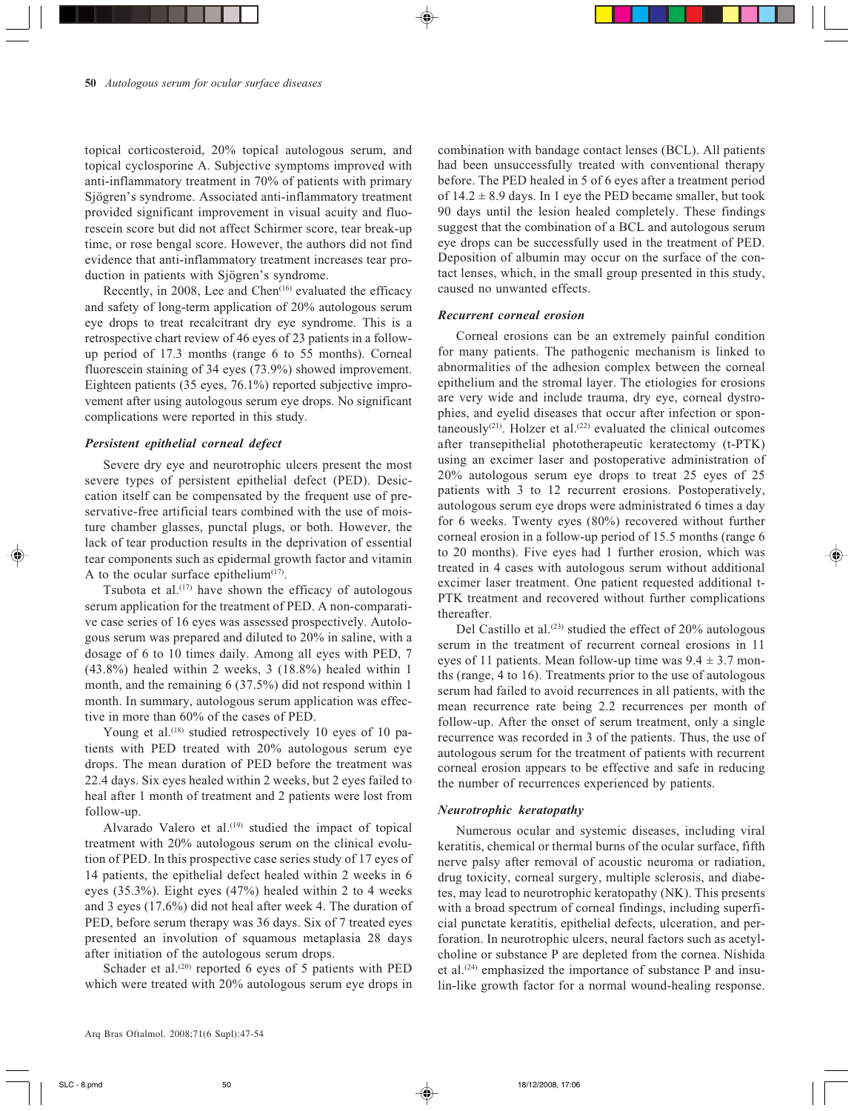topical corticosteroid, 20% topical autologous serum, and topical cyclosporine A. Subjective symptoms improved with anti-inflammatory treatment in 70% of patients with primary Sjögren's syndrome. Associated anti-inflammatory treatment provided significant improvement in visual acuity and fluorescein score but did not affect Schirmer score, tear break-up time, or rose bengal score. However, the authors did not find evidence that anti-inflammatory treatment increases tear production in patients with Sjögren's syndrome.

Recently, in 2008, Lee and Chen<sup>(16)</sup> evaluated the efficacy and safety of long-term application of 20% autologous serum eye drops to treat recalcitrant dry eye syndrome. This is a retrospective chart review of 46 eyes of 23 patients in a followup period of 17.3 months (range 6 to 55 months). Corneal fluorescein staining of 34 eyes (73.9%) showed improvement. Eighteen patients (35 eyes, 76.1%) reported subjective improvement after using autologous serum eye drops. No significant complications were reported in this study.

# *Persistent epithelial corneal defect*

Severe dry eye and neurotrophic ulcers present the most severe types of persistent epithelial defect (PED). Desiccation itself can be compensated by the frequent use of preservative-free artificial tears combined with the use of moisture chamber glasses, punctal plugs, or both. However, the lack of tear production results in the deprivation of essential tear components such as epidermal growth factor and vitamin A to the ocular surface epithelium $(17)$ .

Tsubota et al. $(17)$  have shown the efficacy of autologous serum application for the treatment of PED. A non-comparative case series of 16 eyes was assessed prospectively. Autologous serum was prepared and diluted to 20% in saline, with a dosage of 6 to 10 times daily. Among all eyes with PED, 7 (43.8%) healed within 2 weeks, 3 (18.8%) healed within 1 month, and the remaining 6 (37.5%) did not respond within 1 month. In summary, autologous serum application was effective in more than 60% of the cases of PED.

Young et al.<sup>(18)</sup> studied retrospectively 10 eyes of 10 patients with PED treated with 20% autologous serum eye drops. The mean duration of PED before the treatment was 22.4 days. Six eyes healed within 2 weeks, but 2 eyes failed to heal after 1 month of treatment and 2 patients were lost from follow-up.

Alvarado Valero et al.<sup>(19)</sup> studied the impact of topical treatment with 20% autologous serum on the clinical evolution of PED. In this prospective case series study of 17 eyes of 14 patients, the epithelial defect healed within 2 weeks in 6 eyes (35.3%). Eight eyes (47%) healed within 2 to 4 weeks and 3 eyes (17.6%) did not heal after week 4. The duration of PED, before serum therapy was 36 days. Six of 7 treated eyes presented an involution of squamous metaplasia 28 days after initiation of the autologous serum drops.

Schader et al.<sup>(20)</sup> reported 6 eyes of 5 patients with PED which were treated with 20% autologous serum eye drops in combination with bandage contact lenses (BCL). All patients had been unsuccessfully treated with conventional therapy before. The PED healed in 5 of 6 eyes after a treatment period of  $14.2 \pm 8.9$  days. In 1 eye the PED became smaller, but took 90 days until the lesion healed completely. These findings suggest that the combination of a BCL and autologous serum eye drops can be successfully used in the treatment of PED. Deposition of albumin may occur on the surface of the contact lenses, which, in the small group presented in this study, caused no unwanted effects.

#### *Recurrent corneal erosion*

Corneal erosions can be an extremely painful condition for many patients. The pathogenic mechanism is linked to abnormalities of the adhesion complex between the corneal epithelium and the stromal layer. The etiologies for erosions are very wide and include trauma, dry eye, corneal dystrophies, and eyelid diseases that occur after infection or spontaneously<sup>(21)</sup>. Holzer et al.<sup>(22)</sup> evaluated the clinical outcomes after transepithelial phototherapeutic keratectomy (t-PTK) using an excimer laser and postoperative administration of 20% autologous serum eye drops to treat 25 eyes of 25 patients with 3 to 12 recurrent erosions. Postoperatively, autologous serum eye drops were administrated 6 times a day for 6 weeks. Twenty eyes (80%) recovered without further corneal erosion in a follow-up period of 15.5 months (range 6 to 20 months). Five eyes had 1 further erosion, which was treated in 4 cases with autologous serum without additional excimer laser treatment. One patient requested additional t-PTK treatment and recovered without further complications thereafter.

Del Castillo et al.<sup> $(23)$ </sup> studied the effect of 20% autologous serum in the treatment of recurrent corneal erosions in 11 eyes of 11 patients. Mean follow-up time was  $9.4 \pm 3.7$  months (range, 4 to 16). Treatments prior to the use of autologous serum had failed to avoid recurrences in all patients, with the mean recurrence rate being 2.2 recurrences per month of follow-up. After the onset of serum treatment, only a single recurrence was recorded in 3 of the patients. Thus, the use of autologous serum for the treatment of patients with recurrent corneal erosion appears to be effective and safe in reducing the number of recurrences experienced by patients.

# *Neurotrophic keratopathy*

Numerous ocular and systemic diseases, including viral keratitis, chemical or thermal burns of the ocular surface, fifth nerve palsy after removal of acoustic neuroma or radiation, drug toxicity, corneal surgery, multiple sclerosis, and diabetes, may lead to neurotrophic keratopathy (NK). This presents with a broad spectrum of corneal findings, including superficial punctate keratitis, epithelial defects, ulceration, and perforation. In neurotrophic ulcers, neural factors such as acetylcholine or substance P are depleted from the cornea. Nishida et al.<sup>(24)</sup> emphasized the importance of substance P and insulin-like growth factor for a normal wound-healing response.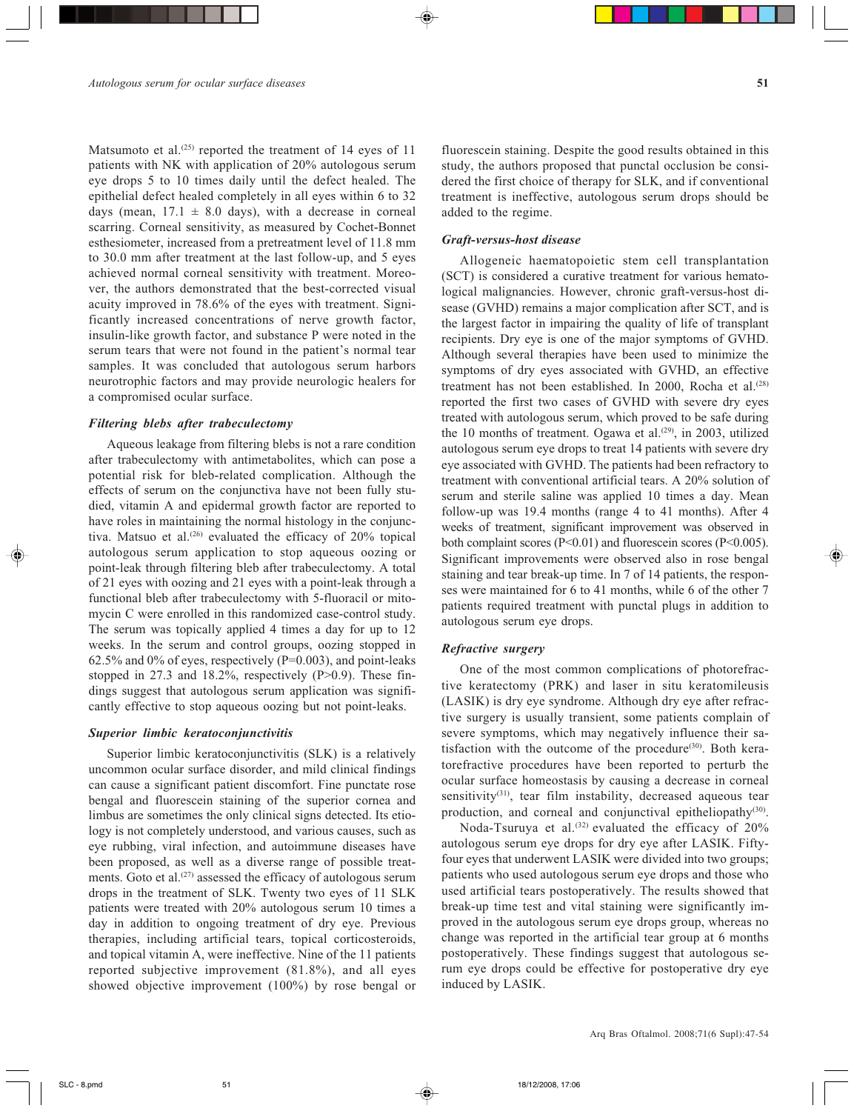Matsumoto et al.<sup> $(25)$ </sup> reported the treatment of 14 eyes of 11 patients with NK with application of 20% autologous serum eye drops 5 to 10 times daily until the defect healed. The epithelial defect healed completely in all eyes within 6 to 32 days (mean,  $17.1 \pm 8.0$  days), with a decrease in corneal scarring. Corneal sensitivity, as measured by Cochet-Bonnet esthesiometer, increased from a pretreatment level of 11.8 mm to 30.0 mm after treatment at the last follow-up, and 5 eyes achieved normal corneal sensitivity with treatment. Moreover, the authors demonstrated that the best-corrected visual acuity improved in 78.6% of the eyes with treatment. Significantly increased concentrations of nerve growth factor, insulin-like growth factor, and substance P were noted in the serum tears that were not found in the patient's normal tear samples. It was concluded that autologous serum harbors neurotrophic factors and may provide neurologic healers for a compromised ocular surface.

#### *Filtering blebs after trabeculectomy*

Aqueous leakage from filtering blebs is not a rare condition after trabeculectomy with antimetabolites, which can pose a potential risk for bleb-related complication. Although the effects of serum on the conjunctiva have not been fully studied, vitamin A and epidermal growth factor are reported to have roles in maintaining the normal histology in the conjunctiva. Matsuo et al.<sup>(26)</sup> evaluated the efficacy of 20% topical autologous serum application to stop aqueous oozing or point-leak through filtering bleb after trabeculectomy. A total of 21 eyes with oozing and 21 eyes with a point-leak through a functional bleb after trabeculectomy with 5-fluoracil or mitomycin C were enrolled in this randomized case-control study. The serum was topically applied 4 times a day for up to 12 weeks. In the serum and control groups, oozing stopped in  $62.5\%$  and 0% of eyes, respectively (P=0.003), and point-leaks stopped in 27.3 and 18.2%, respectively (P>0.9). These findings suggest that autologous serum application was significantly effective to stop aqueous oozing but not point-leaks.

## *Superior limbic keratoconjunctivitis*

Superior limbic keratoconjunctivitis (SLK) is a relatively uncommon ocular surface disorder, and mild clinical findings can cause a significant patient discomfort. Fine punctate rose bengal and fluorescein staining of the superior cornea and limbus are sometimes the only clinical signs detected. Its etiology is not completely understood, and various causes, such as eye rubbing, viral infection, and autoimmune diseases have been proposed, as well as a diverse range of possible treatments. Goto et al. $(27)$  assessed the efficacy of autologous serum drops in the treatment of SLK. Twenty two eyes of 11 SLK patients were treated with 20% autologous serum 10 times a day in addition to ongoing treatment of dry eye. Previous therapies, including artificial tears, topical corticosteroids, and topical vitamin A, were ineffective. Nine of the 11 patients reported subjective improvement (81.8%), and all eyes showed objective improvement (100%) by rose bengal or fluorescein staining. Despite the good results obtained in this study, the authors proposed that punctal occlusion be considered the first choice of therapy for SLK, and if conventional treatment is ineffective, autologous serum drops should be added to the regime.

# *Graft-versus-host disease*

Allogeneic haematopoietic stem cell transplantation (SCT) is considered a curative treatment for various hematological malignancies. However, chronic graft-versus-host disease (GVHD) remains a major complication after SCT, and is the largest factor in impairing the quality of life of transplant recipients. Dry eye is one of the major symptoms of GVHD. Although several therapies have been used to minimize the symptoms of dry eyes associated with GVHD, an effective treatment has not been established. In 2000, Rocha et al.<sup>(28)</sup> reported the first two cases of GVHD with severe dry eyes treated with autologous serum, which proved to be safe during the 10 months of treatment. Ogawa et al.<sup>(29)</sup>, in 2003, utilized autologous serum eye drops to treat 14 patients with severe dry eye associated with GVHD. The patients had been refractory to treatment with conventional artificial tears. A 20% solution of serum and sterile saline was applied 10 times a day. Mean follow-up was 19.4 months (range 4 to 41 months). After 4 weeks of treatment, significant improvement was observed in both complaint scores (P<0.01) and fluorescein scores (P<0.005). Significant improvements were observed also in rose bengal staining and tear break-up time. In 7 of 14 patients, the responses were maintained for 6 to 41 months, while 6 of the other 7 patients required treatment with punctal plugs in addition to autologous serum eye drops.

# *Refractive surgery*

One of the most common complications of photorefractive keratectomy (PRK) and laser in situ keratomileusis (LASIK) is dry eye syndrome. Although dry eye after refractive surgery is usually transient, some patients complain of severe symptoms, which may negatively influence their satisfaction with the outcome of the procedure $(30)$ . Both keratorefractive procedures have been reported to perturb the ocular surface homeostasis by causing a decrease in corneal sensitivity<sup>(31)</sup>, tear film instability, decreased aqueous tear production, and corneal and conjunctival epitheliopathy<sup>(30)</sup>.

Noda-Tsuruya et al.<sup>(32)</sup> evaluated the efficacy of 20% autologous serum eye drops for dry eye after LASIK. Fiftyfour eyes that underwent LASIK were divided into two groups; patients who used autologous serum eye drops and those who used artificial tears postoperatively. The results showed that break-up time test and vital staining were significantly improved in the autologous serum eye drops group, whereas no change was reported in the artificial tear group at 6 months postoperatively. These findings suggest that autologous serum eye drops could be effective for postoperative dry eye induced by LASIK.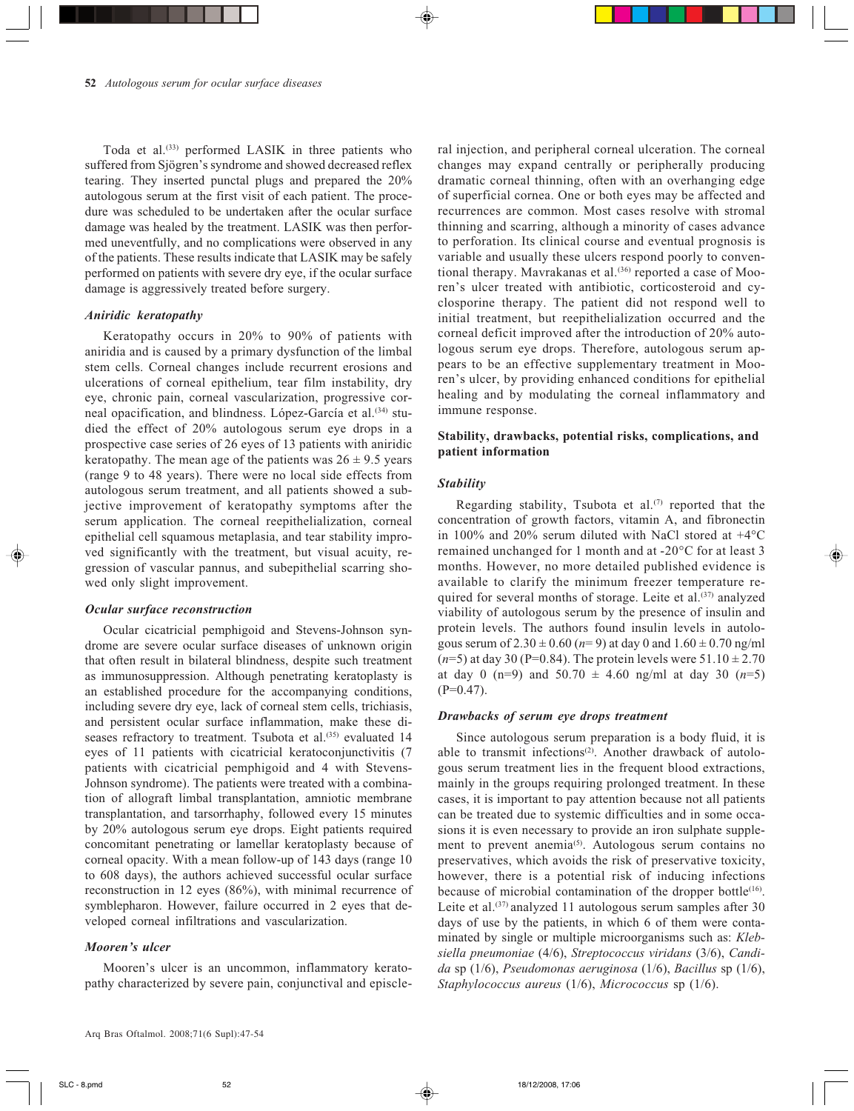Toda et al.<sup>(33)</sup> performed LASIK in three patients who suffered from Sjögren's syndrome and showed decreased reflex tearing. They inserted punctal plugs and prepared the 20% autologous serum at the first visit of each patient. The procedure was scheduled to be undertaken after the ocular surface damage was healed by the treatment. LASIK was then performed uneventfully, and no complications were observed in any of the patients. These results indicate that LASIK may be safely performed on patients with severe dry eye, if the ocular surface damage is aggressively treated before surgery.

## *Aniridic keratopathy*

Keratopathy occurs in 20% to 90% of patients with aniridia and is caused by a primary dysfunction of the limbal stem cells. Corneal changes include recurrent erosions and ulcerations of corneal epithelium, tear film instability, dry eye, chronic pain, corneal vascularization, progressive corneal opacification, and blindness. López-García et al.<sup>(34)</sup> studied the effect of 20% autologous serum eye drops in a prospective case series of 26 eyes of 13 patients with aniridic keratopathy. The mean age of the patients was  $26 \pm 9.5$  years (range 9 to 48 years). There were no local side effects from autologous serum treatment, and all patients showed a subjective improvement of keratopathy symptoms after the serum application. The corneal reepithelialization, corneal epithelial cell squamous metaplasia, and tear stability improved significantly with the treatment, but visual acuity, regression of vascular pannus, and subepithelial scarring showed only slight improvement.

#### *Ocular surface reconstruction*

Ocular cicatricial pemphigoid and Stevens-Johnson syndrome are severe ocular surface diseases of unknown origin that often result in bilateral blindness, despite such treatment as immunosuppression. Although penetrating keratoplasty is an established procedure for the accompanying conditions, including severe dry eye, lack of corneal stem cells, trichiasis, and persistent ocular surface inflammation, make these diseases refractory to treatment. Tsubota et al.<sup>(35)</sup> evaluated 14 eyes of 11 patients with cicatricial keratoconjunctivitis (7 patients with cicatricial pemphigoid and 4 with Stevens-Johnson syndrome). The patients were treated with a combination of allograft limbal transplantation, amniotic membrane transplantation, and tarsorrhaphy, followed every 15 minutes by 20% autologous serum eye drops. Eight patients required concomitant penetrating or lamellar keratoplasty because of corneal opacity. With a mean follow-up of 143 days (range 10 to 608 days), the authors achieved successful ocular surface reconstruction in 12 eyes (86%), with minimal recurrence of symblepharon. However, failure occurred in 2 eyes that developed corneal infiltrations and vascularization.

# *Mooren's ulcer*

Mooren's ulcer is an uncommon, inflammatory keratopathy characterized by severe pain, conjunctival and episcleral injection, and peripheral corneal ulceration. The corneal changes may expand centrally or peripherally producing dramatic corneal thinning, often with an overhanging edge of superficial cornea. One or both eyes may be affected and recurrences are common. Most cases resolve with stromal thinning and scarring, although a minority of cases advance to perforation. Its clinical course and eventual prognosis is variable and usually these ulcers respond poorly to conventional therapy. Mavrakanas et al. $(36)$  reported a case of Mooren's ulcer treated with antibiotic, corticosteroid and cyclosporine therapy. The patient did not respond well to initial treatment, but reepithelialization occurred and the corneal deficit improved after the introduction of 20% autologous serum eye drops. Therefore, autologous serum appears to be an effective supplementary treatment in Mooren's ulcer, by providing enhanced conditions for epithelial healing and by modulating the corneal inflammatory and immune response.

# **Stability, drawbacks, potential risks, complications, and patient information**

## *Stability*

Regarding stability, Tsubota et al. $(7)$  reported that the concentration of growth factors, vitamin A, and fibronectin in 100% and 20% serum diluted with NaCl stored at  $+4^{\circ}$ C remained unchanged for 1 month and at -20°C for at least 3 months. However, no more detailed published evidence is available to clarify the minimum freezer temperature required for several months of storage. Leite et al.<sup>(37)</sup> analyzed viability of autologous serum by the presence of insulin and protein levels. The authors found insulin levels in autologous serum of  $2.30 \pm 0.60$  ( $n=9$ ) at day 0 and  $1.60 \pm 0.70$  ng/ml  $(n=5)$  at day 30 (P=0.84). The protein levels were  $51.10 \pm 2.70$ at day 0 (n=9) and  $50.70 \pm 4.60$  ng/ml at day 30 (n=5)  $(P=0.47)$ .

#### *Drawbacks of serum eye drops treatment*

Since autologous serum preparation is a body fluid, it is able to transmit infections<sup>(2)</sup>. Another drawback of autologous serum treatment lies in the frequent blood extractions, mainly in the groups requiring prolonged treatment. In these cases, it is important to pay attention because not all patients can be treated due to systemic difficulties and in some occasions it is even necessary to provide an iron sulphate supplement to prevent anemia<sup>(5)</sup>. Autologous serum contains no preservatives, which avoids the risk of preservative toxicity, however, there is a potential risk of inducing infections because of microbial contamination of the dropper bottle $^{(16)}$ . Leite et al. $(37)$  analyzed 11 autologous serum samples after 30 days of use by the patients, in which 6 of them were contaminated by single or multiple microorganisms such as: *Klebsiella pneumoniae* (4/6), *Streptococcus viridans* (3/6), *Candida* sp (1/6), *Pseudomonas aeruginosa* (1/6), *Bacillus* sp (1/6), *Staphylococcus aureus* (1/6), *Micrococcus* sp (1/6).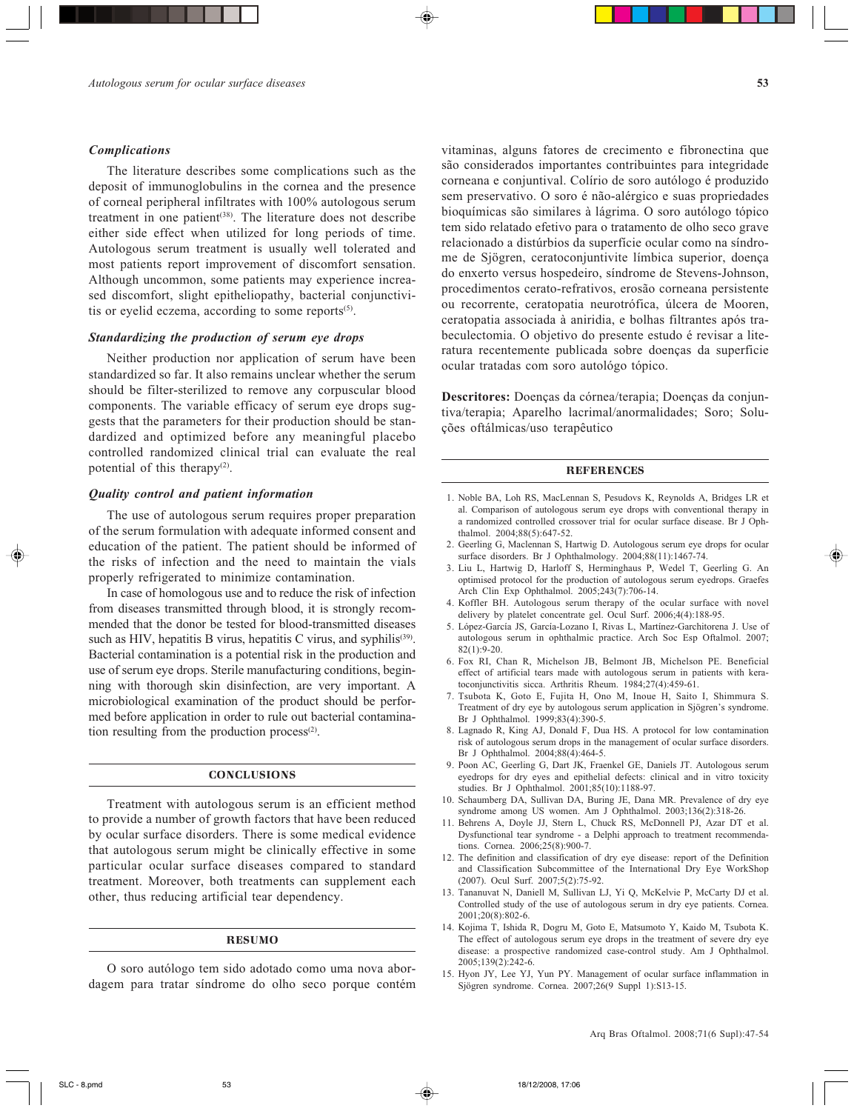#### *Complications*

The literature describes some complications such as the deposit of immunoglobulins in the cornea and the presence of corneal peripheral infiltrates with 100% autologous serum treatment in one patient<sup>(38)</sup>. The literature does not describe either side effect when utilized for long periods of time. Autologous serum treatment is usually well tolerated and most patients report improvement of discomfort sensation. Although uncommon, some patients may experience increased discomfort, slight epitheliopathy, bacterial conjunctivitis or eyelid eczema, according to some reports $(5)$ .

# *Standardizing the production of serum eye drops*

Neither production nor application of serum have been standardized so far. It also remains unclear whether the serum should be filter-sterilized to remove any corpuscular blood components. The variable efficacy of serum eye drops suggests that the parameters for their production should be standardized and optimized before any meaningful placebo controlled randomized clinical trial can evaluate the real potential of this therapy<sup>(2)</sup>.

# *Quality control and patient information*

The use of autologous serum requires proper preparation of the serum formulation with adequate informed consent and education of the patient. The patient should be informed of the risks of infection and the need to maintain the vials properly refrigerated to minimize contamination.

In case of homologous use and to reduce the risk of infection from diseases transmitted through blood, it is strongly recommended that the donor be tested for blood-transmitted diseases such as HIV, hepatitis B virus, hepatitis C virus, and syphilis<sup>(39)</sup>. Bacterial contamination is a potential risk in the production and use of serum eye drops. Sterile manufacturing conditions, beginning with thorough skin disinfection, are very important. A microbiological examination of the product should be performed before application in order to rule out bacterial contamination resulting from the production process $(2)$ .

# **CONCLUSIONS**

Treatment with autologous serum is an efficient method to provide a number of growth factors that have been reduced by ocular surface disorders. There is some medical evidence that autologous serum might be clinically effective in some particular ocular surface diseases compared to standard treatment. Moreover, both treatments can supplement each other, thus reducing artificial tear dependency.

#### RESUMO

O soro autólogo tem sido adotado como uma nova abordagem para tratar síndrome do olho seco porque contém vitaminas, alguns fatores de crecimento e fibronectina que são considerados importantes contribuintes para integridade corneana e conjuntival. Colírio de soro autólogo é produzido sem preservativo. O soro é não-alérgico e suas propriedades bioquímicas são similares à lágrima. O soro autólogo tópico tem sido relatado efetivo para o tratamento de olho seco grave relacionado a distúrbios da superfície ocular como na síndrome de Sjögren, ceratoconjuntivite límbica superior, doença do enxerto versus hospedeiro, síndrome de Stevens-Johnson, procedimentos cerato-refrativos, erosão corneana persistente ou recorrente, ceratopatia neurotrófica, úlcera de Mooren, ceratopatia associada à aniridia, e bolhas filtrantes após trabeculectomia. O objetivo do presente estudo é revisar a literatura recentemente publicada sobre doenças da superficie ocular tratadas com soro autológo tópico.

**Descritores:** Doenças da córnea/terapia; Doenças da conjuntiva/terapia; Aparelho lacrimal/anormalidades; Soro; Soluções oftálmicas/uso terapêutico

#### **REFERENCES**

- 1. Noble BA, Loh RS, MacLennan S, Pesudovs K, Reynolds A, Bridges LR et al. Comparison of autologous serum eye drops with conventional therapy in a randomized controlled crossover trial for ocular surface disease. Br J Ophthalmol. 2004;88(5):647-52.
- 2. Geerling G, Maclennan S, Hartwig D. Autologous serum eye drops for ocular surface disorders. Br J Ophthalmology. 2004;88(11):1467-74.
- 3. Liu L, Hartwig D, Harloff S, Herminghaus P, Wedel T, Geerling G. An optimised protocol for the production of autologous serum eyedrops. Graefes Arch Clin Exp Ophthalmol. 2005;243(7):706-14.
- 4. Koffler BH. Autologous serum therapy of the ocular surface with novel delivery by platelet concentrate gel. Ocul Surf. 2006;4(4):188-95.
- 5. López-García JS, García-Lozano I, Rivas L, Martínez-Garchitorena J. Use of autologous serum in ophthalmic practice. Arch Soc Esp Oftalmol. 2007; 82(1):9-20.
- 6. Fox RI, Chan R, Michelson JB, Belmont JB, Michelson PE. Beneficial effect of artificial tears made with autologous serum in patients with keratoconjunctivitis sicca. Arthritis Rheum. 1984;27(4):459-61.
- 7. Tsubota K, Goto E, Fujita H, Ono M, Inoue H, Saito I, Shimmura S. Treatment of dry eye by autologous serum application in Sjögren's syndrome. Br J Ophthalmol. 1999;83(4):390-5.
- 8. Lagnado R, King AJ, Donald F, Dua HS. A protocol for low contamination risk of autologous serum drops in the management of ocular surface disorders. Br J Ophthalmol. 2004;88(4):464-5.
- 9. Poon AC, Geerling G, Dart JK, Fraenkel GE, Daniels JT. Autologous serum eyedrops for dry eyes and epithelial defects: clinical and in vitro toxicity studies. Br J Ophthalmol. 2001;85(10):1188-97.
- 10. Schaumberg DA, Sullivan DA, Buring JE, Dana MR. Prevalence of dry eye syndrome among US women. Am J Ophthalmol. 2003;136(2):318-26.
- 11. Behrens A, Doyle JJ, Stern L, Chuck RS, McDonnell PJ, Azar DT et al. Dysfunctional tear syndrome - a Delphi approach to treatment recommendations. Cornea. 2006;25(8):900-7.
- 12. The definition and classification of dry eye disease: report of the Definition and Classification Subcommittee of the International Dry Eye WorkShop (2007). Ocul Surf. 2007;5(2):75-92.
- 13. Tananuvat N, Daniell M, Sullivan LJ, Yi Q, McKelvie P, McCarty DJ et al. Controlled study of the use of autologous serum in dry eye patients. Cornea. 2001;20(8):802-6.
- 14. Kojima T, Ishida R, Dogru M, Goto E, Matsumoto Y, Kaido M, Tsubota K. The effect of autologous serum eye drops in the treatment of severe dry eye disease: a prospective randomized case-control study. Am J Ophthalmol. 2005;139(2):242-6.
- 15. Hyon JY, Lee YJ, Yun PY. Management of ocular surface inflammation in Sjögren syndrome. Cornea. 2007;26(9 Suppl 1):S13-15.